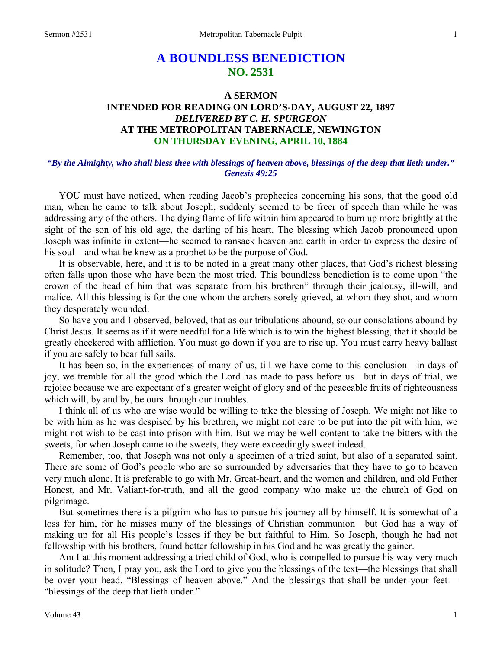# **A BOUNDLESS BENEDICTION NO. 2531**

## **A SERMON INTENDED FOR READING ON LORD'S-DAY, AUGUST 22, 1897**  *DELIVERED BY C. H. SPURGEON*  **AT THE METROPOLITAN TABERNACLE, NEWINGTON ON THURSDAY EVENING, APRIL 10, 1884**

### *"By the Almighty, who shall bless thee with blessings of heaven above, blessings of the deep that lieth under." Genesis 49:25*

YOU must have noticed, when reading Jacob's prophecies concerning his sons, that the good old man, when he came to talk about Joseph, suddenly seemed to be freer of speech than while he was addressing any of the others. The dying flame of life within him appeared to burn up more brightly at the sight of the son of his old age, the darling of his heart. The blessing which Jacob pronounced upon Joseph was infinite in extent—he seemed to ransack heaven and earth in order to express the desire of his soul—and what he knew as a prophet to be the purpose of God.

It is observable, here, and it is to be noted in a great many other places, that God's richest blessing often falls upon those who have been the most tried. This boundless benediction is to come upon "the crown of the head of him that was separate from his brethren" through their jealousy, ill-will, and malice. All this blessing is for the one whom the archers sorely grieved, at whom they shot, and whom they desperately wounded.

So have you and I observed, beloved, that as our tribulations abound, so our consolations abound by Christ Jesus. It seems as if it were needful for a life which is to win the highest blessing, that it should be greatly checkered with affliction. You must go down if you are to rise up. You must carry heavy ballast if you are safely to bear full sails.

It has been so, in the experiences of many of us, till we have come to this conclusion—in days of joy, we tremble for all the good which the Lord has made to pass before us—but in days of trial, we rejoice because we are expectant of a greater weight of glory and of the peaceable fruits of righteousness which will, by and by, be ours through our troubles.

I think all of us who are wise would be willing to take the blessing of Joseph. We might not like to be with him as he was despised by his brethren, we might not care to be put into the pit with him, we might not wish to be cast into prison with him. But we may be well-content to take the bitters with the sweets, for when Joseph came to the sweets, they were exceedingly sweet indeed.

Remember, too, that Joseph was not only a specimen of a tried saint, but also of a separated saint. There are some of God's people who are so surrounded by adversaries that they have to go to heaven very much alone. It is preferable to go with Mr. Great-heart, and the women and children, and old Father Honest, and Mr. Valiant-for-truth, and all the good company who make up the church of God on pilgrimage.

But sometimes there is a pilgrim who has to pursue his journey all by himself. It is somewhat of a loss for him, for he misses many of the blessings of Christian communion—but God has a way of making up for all His people's losses if they be but faithful to Him. So Joseph, though he had not fellowship with his brothers, found better fellowship in his God and he was greatly the gainer.

Am I at this moment addressing a tried child of God, who is compelled to pursue his way very much in solitude? Then, I pray you, ask the Lord to give you the blessings of the text—the blessings that shall be over your head. "Blessings of heaven above." And the blessings that shall be under your feet— "blessings of the deep that lieth under."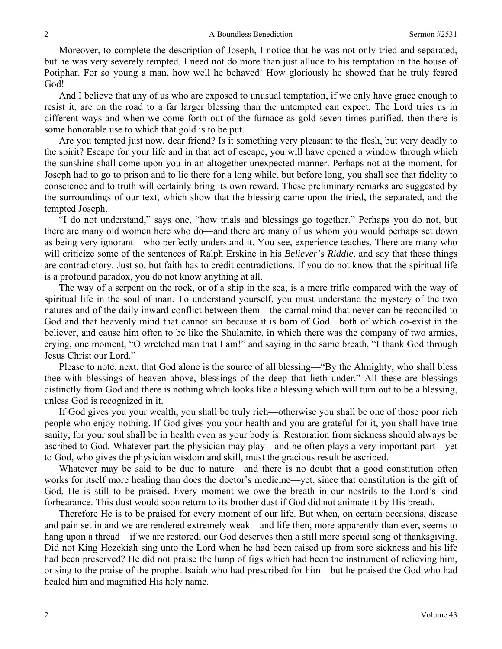Moreover, to complete the description of Joseph, I notice that he was not only tried and separated, but he was very severely tempted. I need not do more than just allude to his temptation in the house of Potiphar. For so young a man, how well he behaved! How gloriously he showed that he truly feared God!

And I believe that any of us who are exposed to unusual temptation, if we only have grace enough to resist it, are on the road to a far larger blessing than the untempted can expect. The Lord tries us in different ways and when we come forth out of the furnace as gold seven times purified, then there is some honorable use to which that gold is to be put.

Are you tempted just now, dear friend? Is it something very pleasant to the flesh, but very deadly to the spirit? Escape for your life and in that act of escape, you will have opened a window through which the sunshine shall come upon you in an altogether unexpected manner. Perhaps not at the moment, for Joseph had to go to prison and to lie there for a long while, but before long, you shall see that fidelity to conscience and to truth will certainly bring its own reward. These preliminary remarks are suggested by the surroundings of our text, which show that the blessing came upon the tried, the separated, and the tempted Joseph.

"I do not understand," says one, "how trials and blessings go together." Perhaps you do not, but there are many old women here who do—and there are many of us whom you would perhaps set down as being very ignorant—who perfectly understand it. You see, experience teaches. There are many who will criticize some of the sentences of Ralph Erskine in his *Believer's Riddle,* and say that these things are contradictory. Just so, but faith has to credit contradictions. If you do not know that the spiritual life is a profound paradox, you do not know anything at all.

The way of a serpent on the rock, or of a ship in the sea, is a mere trifle compared with the way of spiritual life in the soul of man. To understand yourself, you must understand the mystery of the two natures and of the daily inward conflict between them—the carnal mind that never can be reconciled to God and that heavenly mind that cannot sin because it is born of God—both of which co-exist in the believer, and cause him often to be like the Shulamite, in which there was the company of two armies, crying, one moment, "O wretched man that I am!" and saying in the same breath, "I thank God through Jesus Christ our Lord."

Please to note, next, that God alone is the source of all blessing—"By the Almighty, who shall bless thee with blessings of heaven above, blessings of the deep that lieth under." All these are blessings distinctly from God and there is nothing which looks like a blessing which will turn out to be a blessing, unless God is recognized in it.

If God gives you your wealth, you shall be truly rich—otherwise you shall be one of those poor rich people who enjoy nothing. If God gives you your health and you are grateful for it, you shall have true sanity, for your soul shall be in health even as your body is. Restoration from sickness should always be ascribed to God. Whatever part the physician may play—and he often plays a very important part—yet to God, who gives the physician wisdom and skill, must the gracious result be ascribed.

Whatever may be said to be due to nature—and there is no doubt that a good constitution often works for itself more healing than does the doctor's medicine—yet, since that constitution is the gift of God, He is still to be praised. Every moment we owe the breath in our nostrils to the Lord's kind forbearance. This dust would soon return to its brother dust if God did not animate it by His breath.

Therefore He is to be praised for every moment of our life. But when, on certain occasions, disease and pain set in and we are rendered extremely weak—and life then, more apparently than ever, seems to hang upon a thread—if we are restored, our God deserves then a still more special song of thanksgiving. Did not King Hezekiah sing unto the Lord when he had been raised up from sore sickness and his life had been preserved? He did not praise the lump of figs which had been the instrument of relieving him, or sing to the praise of the prophet Isaiah who had prescribed for him—but he praised the God who had healed him and magnified His holy name.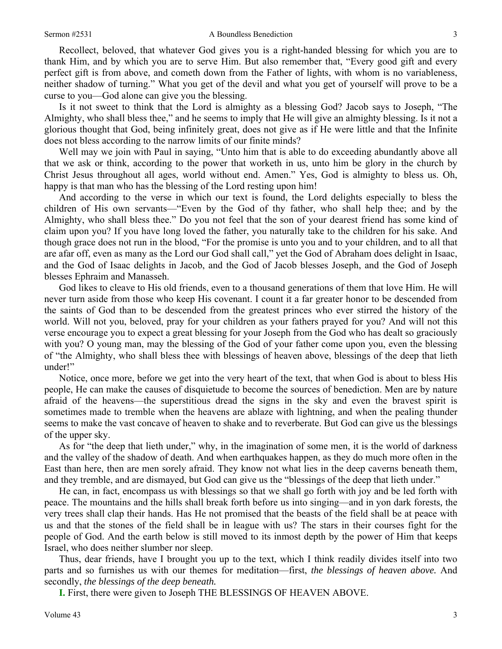Recollect, beloved, that whatever God gives you is a right-handed blessing for which you are to thank Him, and by which you are to serve Him. But also remember that, "Every good gift and every perfect gift is from above, and cometh down from the Father of lights, with whom is no variableness, neither shadow of turning." What you get of the devil and what you get of yourself will prove to be a curse to you—God alone can give you the blessing.

Is it not sweet to think that the Lord is almighty as a blessing God? Jacob says to Joseph, "The Almighty, who shall bless thee," and he seems to imply that He will give an almighty blessing. Is it not a glorious thought that God, being infinitely great, does not give as if He were little and that the Infinite does not bless according to the narrow limits of our finite minds?

Well may we join with Paul in saying, "Unto him that is able to do exceeding abundantly above all that we ask or think, according to the power that worketh in us, unto him be glory in the church by Christ Jesus throughout all ages, world without end. Amen." Yes, God is almighty to bless us. Oh, happy is that man who has the blessing of the Lord resting upon him!

And according to the verse in which our text is found, the Lord delights especially to bless the children of His own servants—"Even by the God of thy father, who shall help thee; and by the Almighty, who shall bless thee." Do you not feel that the son of your dearest friend has some kind of claim upon you? If you have long loved the father, you naturally take to the children for his sake. And though grace does not run in the blood, "For the promise is unto you and to your children, and to all that are afar off, even as many as the Lord our God shall call," yet the God of Abraham does delight in Isaac, and the God of Isaac delights in Jacob, and the God of Jacob blesses Joseph, and the God of Joseph blesses Ephraim and Manasseh.

God likes to cleave to His old friends, even to a thousand generations of them that love Him. He will never turn aside from those who keep His covenant. I count it a far greater honor to be descended from the saints of God than to be descended from the greatest princes who ever stirred the history of the world. Will not you, beloved, pray for your children as your fathers prayed for you? And will not this verse encourage you to expect a great blessing for your Joseph from the God who has dealt so graciously with you? O young man, may the blessing of the God of your father come upon you, even the blessing of "the Almighty, who shall bless thee with blessings of heaven above, blessings of the deep that lieth under!"

Notice, once more, before we get into the very heart of the text, that when God is about to bless His people, He can make the causes of disquietude to become the sources of benediction. Men are by nature afraid of the heavens—the superstitious dread the signs in the sky and even the bravest spirit is sometimes made to tremble when the heavens are ablaze with lightning, and when the pealing thunder seems to make the vast concave of heaven to shake and to reverberate. But God can give us the blessings of the upper sky.

As for "the deep that lieth under," why, in the imagination of some men, it is the world of darkness and the valley of the shadow of death. And when earthquakes happen, as they do much more often in the East than here, then are men sorely afraid. They know not what lies in the deep caverns beneath them, and they tremble, and are dismayed, but God can give us the "blessings of the deep that lieth under."

He can, in fact, encompass us with blessings so that we shall go forth with joy and be led forth with peace. The mountains and the hills shall break forth before us into singing—and in yon dark forests*,* the very trees shall clap their hands. Has He not promised that the beasts of the field shall be at peace with us and that the stones of the field shall be in league with us? The stars in their courses fight for the people of God. And the earth below is still moved to its inmost depth by the power of Him that keeps Israel, who does neither slumber nor sleep.

Thus, dear friends, have I brought you up to the text, which I think readily divides itself into two parts and so furnishes us with our themes for meditation—first, *the blessings of heaven above.* And secondly, *the blessings of the deep beneath.* 

**I.** First, there were given to Joseph THE BLESSINGS OF HEAVEN ABOVE.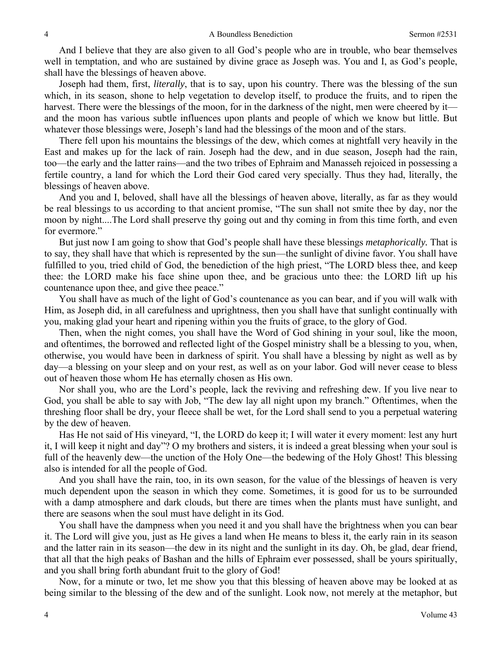And I believe that they are also given to all God's people who are in trouble, who bear themselves well in temptation, and who are sustained by divine grace as Joseph was. You and I, as God's people, shall have the blessings of heaven above.

Joseph had them, first, *literally*, that is to say, upon his country. There was the blessing of the sun which, in its season, shone to help vegetation to develop itself, to produce the fruits, and to ripen the harvest. There were the blessings of the moon, for in the darkness of the night, men were cheered by it and the moon has various subtle influences upon plants and people of which we know but little. But whatever those blessings were, Joseph's land had the blessings of the moon and of the stars.

There fell upon his mountains the blessings of the dew, which comes at nightfall very heavily in the East and makes up for the lack of rain. Joseph had the dew, and in due season, Joseph had the rain, too—the early and the latter rains—and the two tribes of Ephraim and Manasseh rejoiced in possessing a fertile country, a land for which the Lord their God cared very specially. Thus they had, literally, the blessings of heaven above.

And you and I, beloved, shall have all the blessings of heaven above, literally, as far as they would be real blessings to us according to that ancient promise, "The sun shall not smite thee by day, nor the moon by night....The Lord shall preserve thy going out and thy coming in from this time forth, and even for evermore."

But just now I am going to show that God's people shall have these blessings *metaphorically.* That is to say, they shall have that which is represented by the sun—the sunlight of divine favor. You shall have fulfilled to you, tried child of God, the benediction of the high priest, "The LORD bless thee, and keep thee: the LORD make his face shine upon thee, and be gracious unto thee: the LORD lift up his countenance upon thee, and give thee peace."

You shall have as much of the light of God's countenance as you can bear, and if you will walk with Him, as Joseph did, in all carefulness and uprightness, then you shall have that sunlight continually with you, making glad your heart and ripening within you the fruits of grace, to the glory of God.

Then, when the night comes, you shall have the Word of God shining in your soul, like the moon, and oftentimes, the borrowed and reflected light of the Gospel ministry shall be a blessing to you, when, otherwise, you would have been in darkness of spirit. You shall have a blessing by night as well as by day—a blessing on your sleep and on your rest, as well as on your labor. God will never cease to bless out of heaven those whom He has eternally chosen as His own.

Nor shall you, who are the Lord's people, lack the reviving and refreshing dew. If you live near to God, you shall be able to say with Job, "The dew lay all night upon my branch." Oftentimes, when the threshing floor shall be dry, your fleece shall be wet, for the Lord shall send to you a perpetual watering by the dew of heaven.

Has He not said of His vineyard, "I, the LORD do keep it; I will water it every moment: lest any hurt it, I will keep it night and day"? O my brothers and sisters, it is indeed a great blessing when your soul is full of the heavenly dew—the unction of the Holy One—the bedewing of the Holy Ghost! This blessing also is intended for all the people of God.

And you shall have the rain, too, in its own season, for the value of the blessings of heaven is very much dependent upon the season in which they come. Sometimes, it is good for us to be surrounded with a damp atmosphere and dark clouds, but there are times when the plants must have sunlight, and there are seasons when the soul must have delight in its God.

You shall have the dampness when you need it and you shall have the brightness when you can bear it. The Lord will give you, just as He gives a land when He means to bless it, the early rain in its season and the latter rain in its season—the dew in its night and the sunlight in its day. Oh, be glad, dear friend, that all that the high peaks of Bashan and the hills of Ephraim ever possessed, shall be yours spiritually, and you shall bring forth abundant fruit to the glory of God!

Now, for a minute or two, let me show you that this blessing of heaven above may be looked at as being similar to the blessing of the dew and of the sunlight. Look now, not merely at the metaphor, but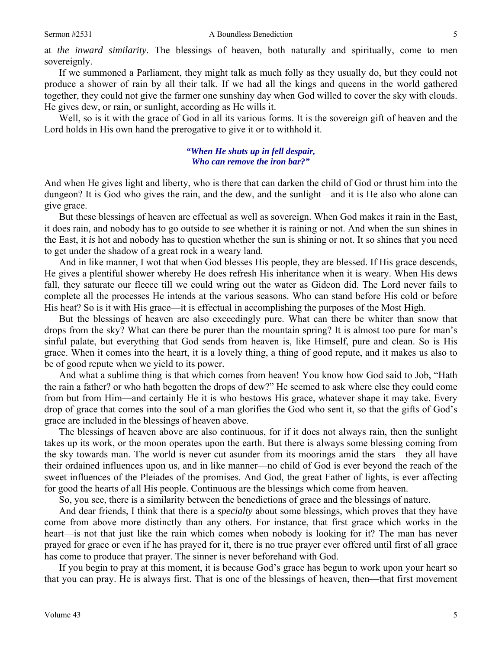at *the inward similarity.* The blessings of heaven, both naturally and spiritually, come to men sovereignly.

If we summoned a Parliament, they might talk as much folly as they usually do, but they could not produce a shower of rain by all their talk. If we had all the kings and queens in the world gathered together, they could not give the farmer one sunshiny day when God willed to cover the sky with clouds. He gives dew, or rain, or sunlight, according as He wills it.

Well, so is it with the grace of God in all its various forms. It is the sovereign gift of heaven and the Lord holds in His own hand the prerogative to give it or to withhold it.

#### *"When He shuts up in fell despair, Who can remove the iron bar?"*

And when He gives light and liberty, who is there that can darken the child of God or thrust him into the dungeon? It is God who gives the rain, and the dew, and the sunlight—and it is He also who alone can give grace.

But these blessings of heaven are effectual as well as sovereign. When God makes it rain in the East, it does rain, and nobody has to go outside to see whether it is raining or not. And when the sun shines in the East, it *is* hot and nobody has to question whether the sun is shining or not. It so shines that you need to get under the shadow of a great rock in a weary land.

And in like manner, I wot that when God blesses His people, they are blessed. If His grace descends, He gives a plentiful shower whereby He does refresh His inheritance when it is weary. When His dews fall, they saturate our fleece till we could wring out the water as Gideon did. The Lord never fails to complete all the processes He intends at the various seasons. Who can stand before His cold or before His heat? So is it with His grace—it is effectual in accomplishing the purposes of the Most High.

But the blessings of heaven are also exceedingly pure. What can there be whiter than snow that drops from the sky? What can there be purer than the mountain spring? It is almost too pure for man's sinful palate, but everything that God sends from heaven is, like Himself, pure and clean. So is His grace. When it comes into the heart, it is a lovely thing, a thing of good repute, and it makes us also to be of good repute when we yield to its power.

And what a sublime thing is that which comes from heaven! You know how God said to Job, "Hath the rain a father? or who hath begotten the drops of dew?" He seemed to ask where else they could come from but from Him—and certainly He it is who bestows His grace, whatever shape it may take. Every drop of grace that comes into the soul of a man glorifies the God who sent it, so that the gifts of God's grace are included in the blessings of heaven above.

The blessings of heaven above are also continuous, for if it does not always rain, then the sunlight takes up its work, or the moon operates upon the earth. But there is always some blessing coming from the sky towards man. The world is never cut asunder from its moorings amid the stars—they all have their ordained influences upon us, and in like manner—no child of God is ever beyond the reach of the sweet influences of the Pleiades of the promises. And God, the great Father of lights, is ever affecting for good the hearts of all His people. Continuous are the blessings which come from heaven.

So, you see, there is a similarity between the benedictions of grace and the blessings of nature.

And dear friends, I think that there is a *specialty* about some blessings, which proves that they have come from above more distinctly than any others. For instance, that first grace which works in the heart—is not that just like the rain which comes when nobody is looking for it? The man has never prayed for grace or even if he has prayed for it, there is no true prayer ever offered until first of all grace has come to produce that prayer. The sinner is never beforehand with God.

If you begin to pray at this moment, it is because God's grace has begun to work upon your heart so that you can pray. He is always first. That is one of the blessings of heaven, then—that first movement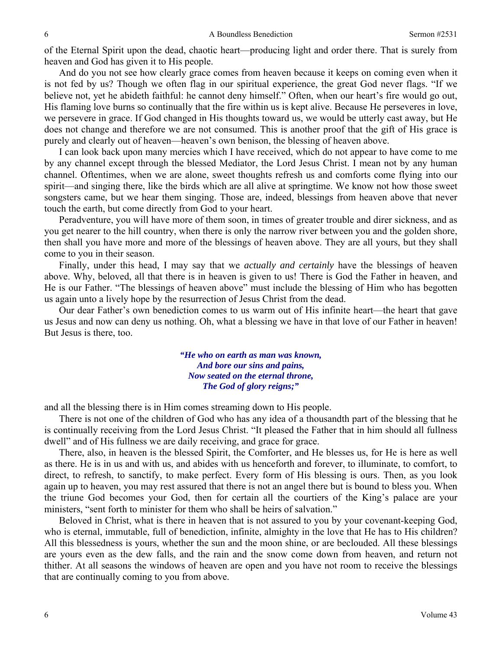of the Eternal Spirit upon the dead, chaotic heart—producing light and order there. That is surely from heaven and God has given it to His people.

And do you not see how clearly grace comes from heaven because it keeps on coming even when it is not fed by us? Though we often flag in our spiritual experience, the great God never flags. "If we believe not, yet he abideth faithful: he cannot deny himself." Often, when our heart's fire would go out, His flaming love burns so continually that the fire within us is kept alive. Because He perseveres in love, we persevere in grace. If God changed in His thoughts toward us, we would be utterly cast away, but He does not change and therefore we are not consumed. This is another proof that the gift of His grace is purely and clearly out of heaven—heaven's own benison, the blessing of heaven above.

I can look back upon many mercies which I have received, which do not appear to have come to me by any channel except through the blessed Mediator, the Lord Jesus Christ. I mean not by any human channel. Oftentimes, when we are alone, sweet thoughts refresh us and comforts come flying into our spirit—and singing there, like the birds which are all alive at springtime. We know not how those sweet songsters came, but we hear them singing. Those are, indeed, blessings from heaven above that never touch the earth, but come directly from God to your heart.

Peradventure, you will have more of them soon, in times of greater trouble and direr sickness, and as you get nearer to the hill country, when there is only the narrow river between you and the golden shore, then shall you have more and more of the blessings of heaven above. They are all yours, but they shall come to you in their season.

Finally, under this head, I may say that we *actually and certainly* have the blessings of heaven above. Why, beloved, all that there is in heaven is given to us! There is God the Father in heaven, and He is our Father. "The blessings of heaven above" must include the blessing of Him who has begotten us again unto a lively hope by the resurrection of Jesus Christ from the dead.

Our dear Father's own benediction comes to us warm out of His infinite heart—the heart that gave us Jesus and now can deny us nothing. Oh, what a blessing we have in that love of our Father in heaven! But Jesus is there, too.

> *"He who on earth as man was known, And bore our sins and pains, Now seated on the eternal throne, The God of glory reigns;"*

and all the blessing there is in Him comes streaming down to His people.

There is not one of the children of God who has any idea of a thousandth part of the blessing that he is continually receiving from the Lord Jesus Christ. "It pleased the Father that in him should all fullness dwell" and of His fullness we are daily receiving, and grace for grace.

There, also, in heaven is the blessed Spirit, the Comforter, and He blesses us, for He is here as well as there. He is in us and with us, and abides with us henceforth and forever, to illuminate, to comfort, to direct, to refresh, to sanctify, to make perfect. Every form of His blessing is ours. Then, as you look again up to heaven, you may rest assured that there is not an angel there but is bound to bless you. When the triune God becomes your God, then for certain all the courtiers of the King's palace are your ministers, "sent forth to minister for them who shall be heirs of salvation."

Beloved in Christ, what is there in heaven that is not assured to you by your covenant-keeping God, who is eternal, immutable, full of benediction, infinite, almighty in the love that He has to His children? All this blessedness is yours, whether the sun and the moon shine, or are beclouded. All these blessings are yours even as the dew falls, and the rain and the snow come down from heaven, and return not thither. At all seasons the windows of heaven are open and you have not room to receive the blessings that are continually coming to you from above.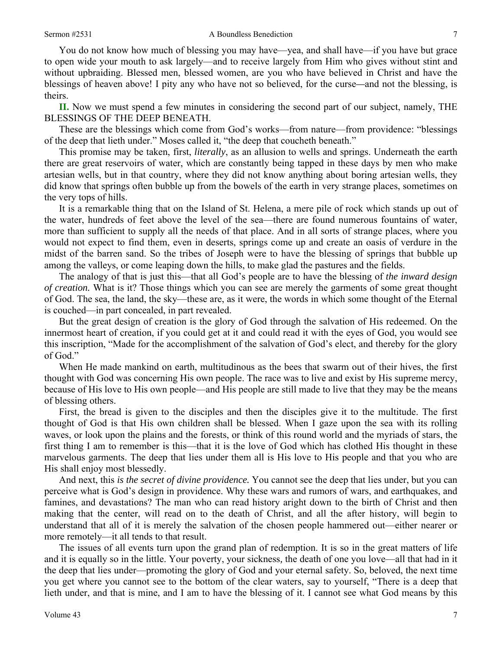You do not know how much of blessing you may have—yea, and shall have—if you have but grace to open wide your mouth to ask largely—and to receive largely from Him who gives without stint and without upbraiding. Blessed men, blessed women, are you who have believed in Christ and have the blessings of heaven above! I pity any who have not so believed, for the curse*—*and not the blessing, is theirs.

**II.** Now we must spend a few minutes in considering the second part of our subject, namely, THE BLESSINGS OF THE DEEP BENEATH.

These are the blessings which come from God's works—from nature—from providence: "blessings of the deep that lieth under." Moses called it, "the deep that coucheth beneath."

This promise may be taken, first, *literally*, as an allusion to wells and springs. Underneath the earth there are great reservoirs of water, which are constantly being tapped in these days by men who make artesian wells, but in that country, where they did not know anything about boring artesian wells, they did know that springs often bubble up from the bowels of the earth in very strange places, sometimes on the very tops of hills.

It is a remarkable thing that on the Island of St. Helena, a mere pile of rock which stands up out of the water, hundreds of feet above the level of the sea—there are found numerous fountains of water, more than sufficient to supply all the needs of that place. And in all sorts of strange places, where you would not expect to find them, even in deserts, springs come up and create an oasis of verdure in the midst of the barren sand. So the tribes of Joseph were to have the blessing of springs that bubble up among the valleys, or come leaping down the hills, to make glad the pastures and the fields.

The analogy of that is just this—that all God's people are to have the blessing of *the inward design of creation.* What is it? Those things which you can see are merely the garments of some great thought of God. The sea, the land, the sky—these are, as it were, the words in which some thought of the Eternal is couched—in part concealed, in part revealed.

But the great design of creation is the glory of God through the salvation of His redeemed. On the innermost heart of creation, if you could get at it and could read it with the eyes of God, you would see this inscription, "Made for the accomplishment of the salvation of God's elect, and thereby for the glory of God."

When He made mankind on earth, multitudinous as the bees that swarm out of their hives, the first thought with God was concerning His own people. The race was to live and exist by His supreme mercy, because of His love to His own people—and His people are still made to live that they may be the means of blessing others.

First, the bread is given to the disciples and then the disciples give it to the multitude. The first thought of God is that His own children shall be blessed. When I gaze upon the sea with its rolling waves, or look upon the plains and the forests, or think of this round world and the myriads of stars, the first thing I am to remember is this—that it is the love of God which has clothed His thought in these marvelous garments. The deep that lies under them all is His love to His people and that you who are His shall enjoy most blessedly.

And next, this *is the secret of divine providence.* You cannot see the deep that lies under, but you can perceive what is God's design in providence. Why these wars and rumors of wars, and earthquakes, and famines, and devastations? The man who can read history aright down to the birth of Christ and then making that the center, will read on to the death of Christ, and all the after history, will begin to understand that all of it is merely the salvation of the chosen people hammered out—either nearer or more remotely—it all tends to that result.

The issues of all events turn upon the grand plan of redemption. It is so in the great matters of life and it is equally so in the little. Your poverty, your sickness*,* the death of one you love—all that had in it the deep that lies under—promoting the glory of God and your eternal safety. So, beloved, the next time you get where you cannot see to the bottom of the clear waters, say to yourself, "There is a deep that lieth under, and that is mine, and I am to have the blessing of it. I cannot see what God means by this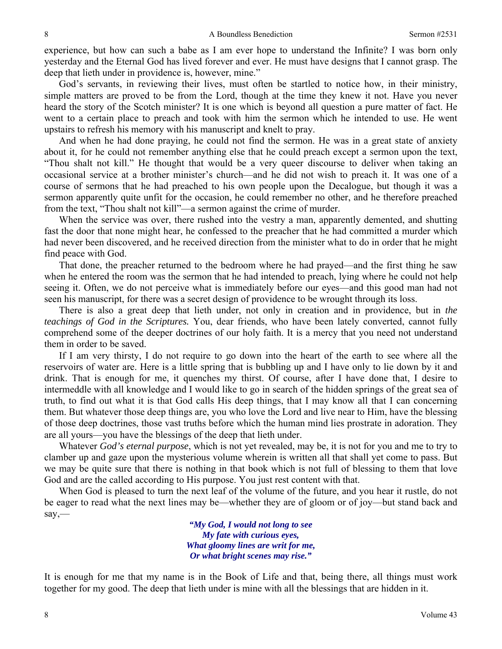experience, but how can such a babe as I am ever hope to understand the Infinite? I was born only yesterday and the Eternal God has lived forever and ever. He must have designs that I cannot grasp. The deep that lieth under in providence is, however, mine."

God's servants, in reviewing their lives, must often be startled to notice how, in their ministry, simple matters are proved to be from the Lord, though at the time they knew it not. Have you never heard the story of the Scotch minister? It is one which is beyond all question a pure matter of fact. He went to a certain place to preach and took with him the sermon which he intended to use. He went upstairs to refresh his memory with his manuscript and knelt to pray.

And when he had done praying, he could not find the sermon. He was in a great state of anxiety about it, for he could not remember anything else that he could preach except a sermon upon the text, "Thou shalt not kill." He thought that would be a very queer discourse to deliver when taking an occasional service at a brother minister's church—and he did not wish to preach it. It was one of a course of sermons that he had preached to his own people upon the Decalogue, but though it was a sermon apparently quite unfit for the occasion, he could remember no other, and he therefore preached from the text, "Thou shalt not kill"—a sermon against the crime of murder.

When the service was over, there rushed into the vestry a man, apparently demented, and shutting fast the door that none might hear, he confessed to the preacher that he had committed a murder which had never been discovered, and he received direction from the minister what to do in order that he might find peace with God.

That done, the preacher returned to the bedroom where he had prayed—and the first thing he saw when he entered the room was the sermon that he had intended to preach, lying where he could not help seeing it. Often, we do not perceive what is immediately before our eyes—and this good man had not seen his manuscript, for there was a secret design of providence to be wrought through its loss.

There is also a great deep that lieth under, not only in creation and in providence, but in *the teachings of God in the Scriptures.* You, dear friends, who have been lately converted, cannot fully comprehend some of the deeper doctrines of our holy faith. It is a mercy that you need not understand them in order to be saved.

If I am very thirsty, I do not require to go down into the heart of the earth to see where all the reservoirs of water are. Here is a little spring that is bubbling up and I have only to lie down by it and drink. That is enough for me, it quenches my thirst. Of course, after I have done that, I desire to intermeddle with all knowledge and I would like to go in search of the hidden springs of the great sea of truth, to find out what it is that God calls His deep things, that I may know all that I can concerning them. But whatever those deep things are, you who love the Lord and live near to Him, have the blessing of those deep doctrines, those vast truths before which the human mind lies prostrate in adoration. They are all yours—you have the blessings of the deep that lieth under.

Whatever *God's eternal purpose*, which is not yet revealed, may be, it is not for you and me to try to clamber up and gaze upon the mysterious volume wherein is written all that shall yet come to pass. But we may be quite sure that there is nothing in that book which is not full of blessing to them that love God and are the called according to His purpose. You just rest content with that.

When God is pleased to turn the next leaf of the volume of the future, and you hear it rustle, do not be eager to read what the next lines may be—whether they are of gloom or of joy—but stand back and say,—

> *"My God, I would not long to see My fate with curious eyes, What gloomy lines are writ for me, Or what bright scenes may rise."*

It is enough for me that my name is in the Book of Life and that, being there, all things must work together for my good. The deep that lieth under is mine with all the blessings that are hidden in it.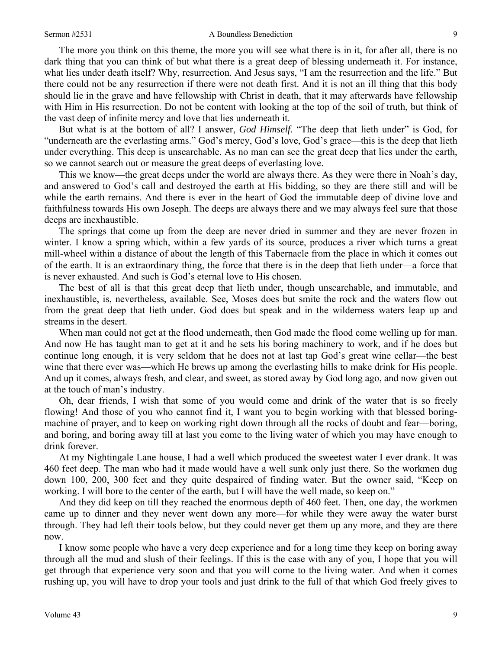#### Sermon #2531 A Boundless Benediction 9

The more you think on this theme, the more you will see what there is in it, for after all, there is no dark thing that you can think of but what there is a great deep of blessing underneath it. For instance, what lies under death itself? Why, resurrection. And Jesus says, "I am the resurrection and the life." But there could not be any resurrection if there were not death first. And it is not an ill thing that this body should lie in the grave and have fellowship with Christ in death, that it may afterwards have fellowship with Him in His resurrection. Do not be content with looking at the top of the soil of truth, but think of the vast deep of infinite mercy and love that lies underneath it.

But what is at the bottom of all? I answer, *God Himself.* "The deep that lieth under" is God, for "underneath are the everlasting arms." God's mercy, God's love, God's grace—this is the deep that lieth under everything. This deep is unsearchable. As no man can see the great deep that lies under the earth, so we cannot search out or measure the great deeps of everlasting love.

This we know—the great deeps under the world are always there. As they were there in Noah's day, and answered to God's call and destroyed the earth at His bidding, so they are there still and will be while the earth remains. And there is ever in the heart of God the immutable deep of divine love and faithfulness towards His own Joseph. The deeps are always there and we may always feel sure that those deeps are inexhaustible.

The springs that come up from the deep are never dried in summer and they are never frozen in winter. I know a spring which, within a few yards of its source, produces a river which turns a great mill-wheel within a distance of about the length of this Tabernacle from the place in which it comes out of the earth. It is an extraordinary thing, the force that there is in the deep that lieth under—a force that is never exhausted. And such is God's eternal love to His chosen.

The best of all is that this great deep that lieth under, though unsearchable, and immutable, and inexhaustible, is, nevertheless, available. See, Moses does but smite the rock and the waters flow out from the great deep that lieth under. God does but speak and in the wilderness waters leap up and streams in the desert.

When man could not get at the flood underneath, then God made the flood come welling up for man. And now He has taught man to get at it and he sets his boring machinery to work, and if he does but continue long enough, it is very seldom that he does not at last tap God's great wine cellar—the best wine that there ever was—which He brews up among the everlasting hills to make drink for His people. And up it comes, always fresh, and clear, and sweet, as stored away by God long ago, and now given out at the touch of man's industry.

Oh, dear friends, I wish that some of you would come and drink of the water that is so freely flowing! And those of you who cannot find it, I want you to begin working with that blessed boringmachine of prayer, and to keep on working right down through all the rocks of doubt and fear—boring, and boring, and boring away till at last you come to the living water of which you may have enough to drink forever.

At my Nightingale Lane house, I had a well which produced the sweetest water I ever drank. It was 460 feet deep. The man who had it made would have a well sunk only just there. So the workmen dug down 100, 200, 300 feet and they quite despaired of finding water. But the owner said, "Keep on working. I will bore to the center of the earth, but I will have the well made, so keep on."

And they did keep on till they reached the enormous depth of 460 feet. Then, one day, the workmen came up to dinner and they never went down any more—for while they were away the water burst through. They had left their tools below, but they could never get them up any more, and they are there now.

I know some people who have a very deep experience and for a long time they keep on boring away through all the mud and slush of their feelings. If this is the case with any of you, I hope that you will get through that experience very soon and that you will come to the living water. And when it comes rushing up, you will have to drop your tools and just drink to the full of that which God freely gives to